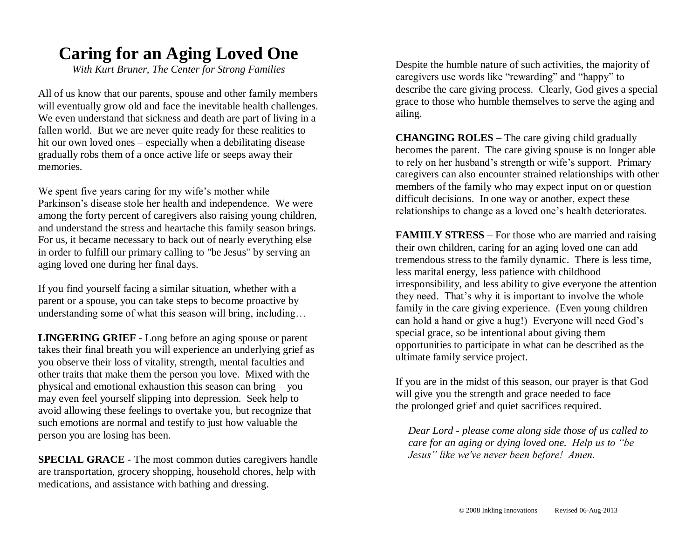## **Caring for an Aging Loved One**

*With Kurt Bruner, The Center for Strong Families*

All of us know that our parents, spouse and other family members will eventually grow old and face the inevitable health challenges. We even understand that sickness and death are part of living in a fallen world. But we are never quite ready for these realities to hit our own loved ones – especially when a debilitating disease gradually robs them of a once active life or seeps away their memories.

We spent five years caring for my wife's mother while Parkinson's disease stole her health and independence. We were among the forty percent of caregivers also raising young children, and understand the stress and heartache this family season brings. For us, it became necessary to back out of nearly everything else in order to fulfill our primary calling to "be Jesus" by serving an aging loved one during her final days.

If you find yourself facing a similar situation, whether with a parent or a spouse, you can take steps to become proactive by understanding some of what this season will bring, including…

**LINGERING GRIEF** - Long before an aging spouse or parent takes their final breath you will experience an underlying grief as you observe their loss of vitality, strength, mental faculties and other traits that make them the person you love. Mixed with the physical and emotional exhaustion this season can bring – you may even feel yourself slipping into depression. Seek help to avoid allowing these feelings to overtake you, but recognize that such emotions are normal and testify to just how valuable the person you are losing has been.

**SPECIAL GRACE** - The most common duties caregivers handle are transportation, grocery shopping, household chores, help with medications, and assistance with bathing and dressing.

Despite the humble nature of such activities, the majority of caregivers use words like "rewarding" and "happy" to describe the care giving process. Clearly, God gives a special grace to those who humble themselves to serve the aging and ailing.

**CHANGING ROLES** – The care giving child gradually becomes the parent. The care giving spouse is no longer able to rely on her husband's strength or wife's support. Primary caregivers can also encounter strained relationships with other members of the family who may expect input on or question difficult decisions. In one way or another, expect these relationships to change as a loved one's health deteriorates.

**FAMIILY STRESS** – For those who are married and raising their own children, caring for an aging loved one can add tremendous stress to the family dynamic. There is less time, less marital energy, less patience with childhood irresponsibility, and less ability to give everyone the attention they need. That's why it is important to involve the whole family in the care giving experience. (Even young children can hold a hand or give a hug!) Everyone will need God's special grace, so be intentional about giving them opportunities to participate in what can be described as the ultimate family service project.

If you are in the midst of this season, our prayer is that God will give you the strength and grace needed to face the prolonged grief and quiet sacrifices required.

*Dear Lord - please come along side those of us called to care for an aging or dying loved one. Help us to "be Jesus" like we've never been before! Amen.*